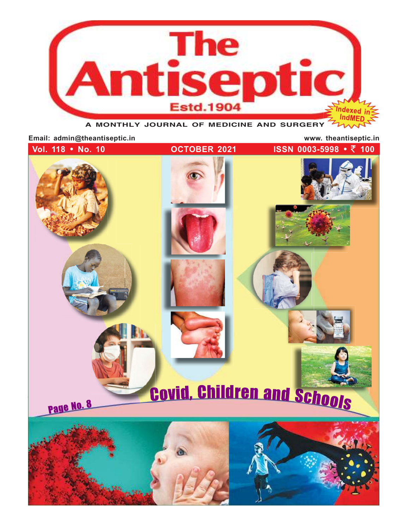

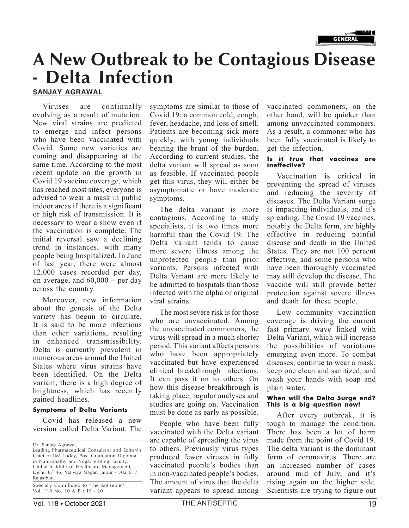

# A New Outbreak to be Contagious Disease - Delta Infection

SANJAY AGRAWAL

evolving as a result of mutation. New viral strains are predicted to emerge and infect persons who have been vaccinated with Covid. Some new varieties are coming and disappearing at the same time. According to the most recent update on the growth in Covid 19 vaccine coverage, which has reached most sites, everyone is advised to wear a mask in public indoor areas if there is a significant or high risk of transmission. It is necessary to wear a show even if the vaccination is complete. The initial reversal saw a declining trend in instances, with many people being hospitalized. In June of last year, there were almost 12,000 cases recorded per day, on average, and  $60,000 +$  per day across the country.

Moreover, new information about the genesis of the Delta variety has begun to circulate. It is said to be more infectious than other variations, resulting in enhanced transmissibility. Delta is currently prevalent in numerous areas around the United States where virus strains have been identified. On the Delta variant, there is a high degree of brightness, which has recently gained headlines.

### **Symptoms of Delta Variants**

Covid has released a new version called Delta Variant. The

Specially Contributed to "The Antiseptic" Vol. 118 No. 10 & P : 19 - 20

Viruses are continually symptoms are similar to those of vaccinated co Covid 19: a common cold, cough, fever, headache, and loss of smell. Patients are becoming sick more quickly, with young individuals bearing the brunt of the burden. According to current studies, the is it true that vaccines are delta variant will spread as soon ineffective? as feasible. If vaccinated people get this virus, they will either be asymptomatic or have moderate symptoms.

> The delta variant is more contagious. According to study specialists, it is two times more harmful than the Covid 19. The Delta variant tends to cause more severe illness among the unprotected people than prior variants. Persons infected with Delta Variant are more likely to be admitted to hospitals than those infected with the alpha or original viral strains.

The most severe risk is for those who are unvaccinated. Among the unvaccinated commoners, the virus will spread in a much shorter period. This variant affects persons who have been appropriately vaccinated but have experienced clinical breakthrough infections. It can pass it on to others. On how this disease breakthrough is taking place, regular analyses and **When will the Delta Surge end?** studies are going on. Vaccination This is a big question now! must be done as early as possible.

People who have been fully vaccinated with the Delta variant are capable of spreading the virus to others. Previously virus types produced fewer viruses in fully vaccinated people's bodies than in non-vaccinated people's bodies. The amount of virus that the delta variant appears to spread among

vaccinated commoners, on the other hand, will be quicker than among unvaccinated commoners. As a result, a commoner who has been fully vaccinated is likely to get the infection.

Vaccination is critical in preventing the spread of viruses and reducing the severity of diseases. The Delta Variant surge is impacting individuals, and it's spreading. The Covid 19 vaccines, notably the Delta form, are highly effective in reducing painful disease and death in the United States. They are not 100 percent effective, and some persons who have been thoroughly vaccinated may still develop the disease. The vaccine will still provide better protection against severe illness and death for these people.

Low community vaccination coverage is driving the current fast primary wave linked with Delta Variant, which will increase the possibilities of variations emerging even more. To combat diseases, continue to wear a mask, keep one clean and sanitized, and wash your hands with soap and plain water.

After every outbreak, it is tough to manage the condition. There has been a lot of harm made from the point of Covid 19. The delta variant is the dominant form of coronavirus. There are an increased number of cases around mid of July, and it's rising again on the higher side. Scientists are trying to figure out

Dr. Sanjay Agrawal,

Leading Pharmaceutical Consultant and Editor-in Chief of IJM Today, Post Graduation Diploma in Naturopathy and Yoga, Visiting Faculty, Global Institute of Healthcare Management, Delhi. 6/146, Malviya Nagar, Jaipur - 302 017. Rajasthan.